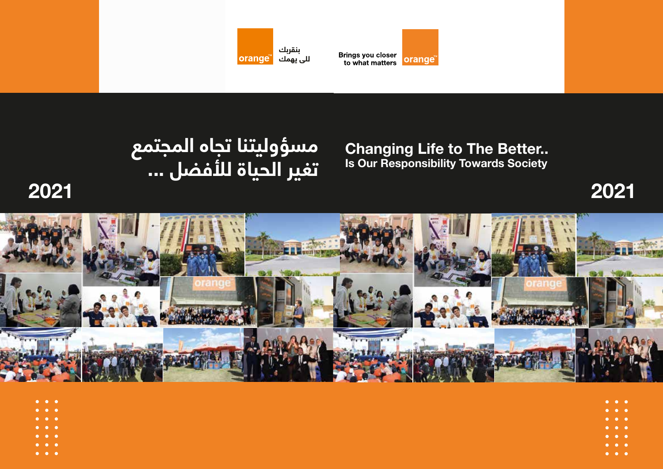



# **مسؤوليتنا تجاه المجتمع تغير الحياة للأفضل ...**

**2021**

#### **Changing Life to The Better.. Is Our Responsibility Towards Society**

# **2021**



 $\bullet\quad\bullet\quad\bullet$  $\bullet\quadbullet\quad\bullet$  $\bullet\bullet\bullet$ **A C A**  $\bullet$  $\bullet$   $\bullet$  $\bullet\quad\bullet\quad\bullet$  $\bullet\quad\bullet\quad\bullet$  $\bullet\quad \bullet\quad \bullet$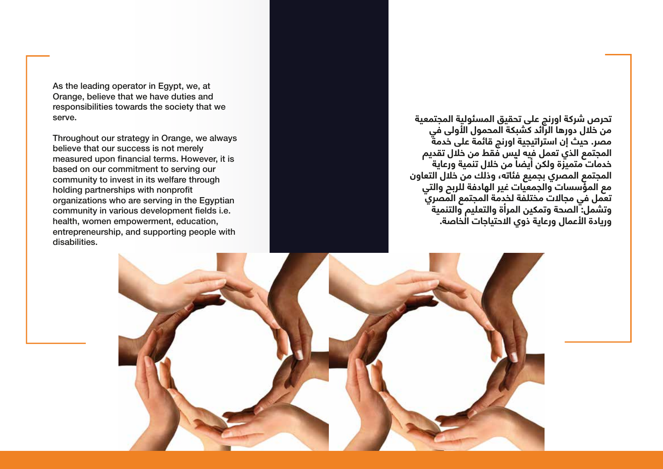As the leading operator in Egypt, we, at Orange, believe that we have duties and responsibilities towards the society that we serve.

Throughout our strategy in Orange, we always believe that our success is not merely measured upon financial terms. However, it is based on our commitment to serving our community to invest in its welfare through holding partnerships with nonprofit organizations who are serving in the Egyptian community in various development fields i.e. health, women empowerment, education, entrepreneurship, and supporting people with disabilities.

**تحرص شركة اورنچ على تحقيق المسئولية المجتمعية من خلال دورها الرائد كشبكة المحمول الأولى في مصر. حيث إن استراتيجية اورنچ قائمة على خدمة المجتمع الذي تعمل فيه ليس فقط من خلال تقديم ً من خلال تنمية ورعاية خدمات متميزة ولكن أيضا المجتمع المصري بجميع فئاته، وذلك من خلال التعاون مع المؤسسات والجمعيات غير الهادفة للربح والتي تعمل في مجالات مختلفة لخدمة المجتمع المصري وتشمل: الصحة وتمكين المرأة والتعليم والتنمية وريادة الأعمال ورعاية ذوي الاحتياجات الخاصة.**

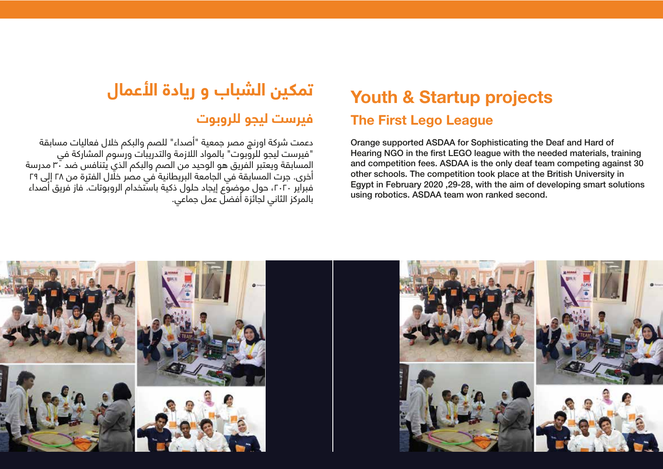# **تمكين الشباب و ريادة الأعمال**

### **فيرست ليجو للروبوت**

دعمت شركة اورنچ مصر جمعية "أصداء" للصم والبكم خلال فعاليات مسابقة "فيرست ليجو للروبوت" بالمواد اللازمة والتدريبات ورسوم المشاركة في المسابقة ويعتبر الفريق هو الوحيد من الصم والبكم الذي يتنافس ضد ٣٠ مدرسة أخرى. جرت المسابقة في الجامعة البريطانية في مصر خلال الفترة من ٢٨ إلى ٢٩ فبراير ،٢٠٢٠ حول موضوع إيجاد حلول ذكية باستخدام الروبوتات. فاز فريق أصداء بالمركز الثاني لجائزة أفضل عمل جماعي.

# **The First Lego League Youth & Startup projects**

Orange supported ASDAA for Sophisticating the Deaf and Hard of Hearing NGO in the first LEGO league with the needed materials, training and competition fees. ASDAA is the only deaf team competing against 30 other schools. The competition took place at the British University in Egypt in February 2020 ,29-28, with the aim of developing smart solutions using robotics. ASDAA team won ranked second.

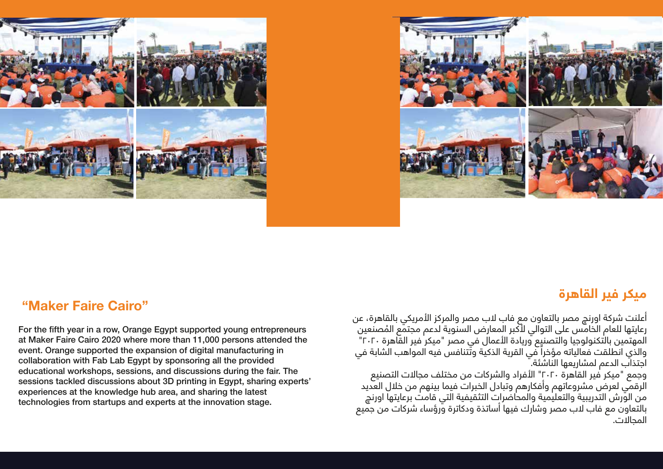



### **ميكر فير القاهرة**

أعلنت شركة اورنچ مصر بالتعاون مع فاب لاب مصر والمركز الأمريكي بالقاهرة، عن ُ رعايتها للعام الخامس على التوالي لأكبر المعارض السنوية لدعم مجتمع المصنعين المهتمين بالتكنولوجيا والتصنيع وريادة الأعمال في مصر "ميكر فير القاهرة ٢٠٢٠" والذي انطلقت فعالياته مؤخراً في القرية الذكية وتتنافس فيه المواهب الشابة في اجتذاب الدعم لمشاريعها الناشئة.

وجمع "ميكر فير القاهرة ٢٠٢٠" الأفراد والشركات من مختلف مجالات التصنيع الرقمي لعرض مشروعاتهم وأفكارهم وتبادل الخبرات فيما بينهم من خلال العديد من الورش التدريبية والتعليمية والمحاضرات التثقيفية التي قامت برعايتها اورنچ بالتعاون مع فاب لاب مصر وشارك فيها أساتذة ودكاترة ورؤساء شركات من جميع المجالات.

#### **"Maker Faire Cairo"**

For the fifth year in a row, Orange Egypt supported young entrepreneurs at Maker Faire Cairo 2020 where more than 11,000 persons attended the event. Orange supported the expansion of digital manufacturing in collaboration with Fab Lab Egypt by sponsoring all the provided educational workshops, sessions, and discussions during the fair. The sessions tackled discussions about 3D printing in Egypt, sharing experts' experiences at the knowledge hub area, and sharing the latest technologies from startups and experts at the innovation stage.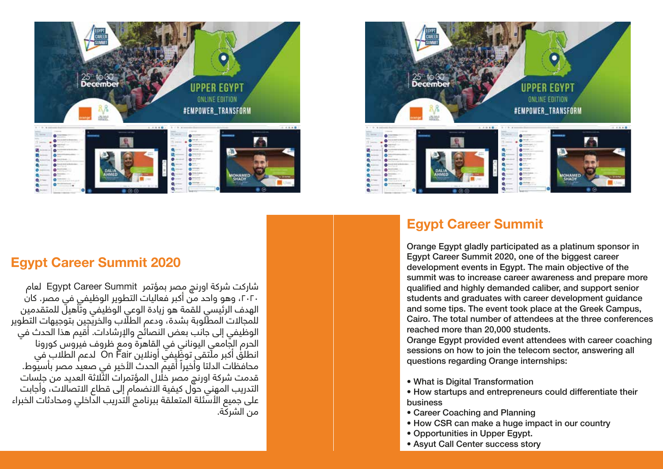



#### **Egypt Career Summit**

Orange Egypt gladly participated as a platinum sponsor in Egypt Career Summit 2020, one of the biggest career development events in Egypt. The main objective of the summit was to increase career awareness and prepare more qualified and highly demanded caliber, and support senior students and graduates with career development guidance and some tips. The event took place at the Greek Campus, Cairo. The total number of attendees at the three conferences reached more than 20,000 students.

Orange Egypt provided event attendees with career coaching sessions on how to join the telecom sector, answering all questions regarding Orange internships:

- What is Digital Transformation
- How startups and entrepreneurs could differentiate their business
- Career Coaching and Planning
- How CSR can make a huge impact in our country
- Opportunities in Upper Egypt.
- Asyut Call Center success story

#### **Egypt Career Summit 2020**

شاركت شركة اورنچ مصر بمؤتمر Summit Career Egypt لعام ،٢٠٢٠ وهو واحد من أكبر فعاليات التطوير الوظيفي في مصر. كان الهدف الرئيسي للقمة هو زيادة الوعي الوظيفي وتأهيل للمتقدمين للمجالات المطلوبة بشدة، ودعم الطلاب والخريجين بتوجيهات التطوير الوظيفي إلى جانب بعض النصائح والإرشادات. أقيم هذا الحدث في الحرم الجامعي اليوناني في القاهرة ومع ظروف فيروس كورونا انطلق أكبر ملتقى توظيفي أونلاين Fair On لدعم الطلاب في محافظات الدلتا وأخيراً أقيم الحدث الأخير في صعيد مصر بأسيوط. قدمت شركة اورنچ مصر خلال المؤتمرات الثلاثة العديد من جلسات التدريب المهني حول كيفية الانضمام إلى قطاع الاتصالات، وأجابت على جميع الأسئلة المتعلقة ببرنامج التدريب الداخلي ومحادثات الخبراء من الشركة.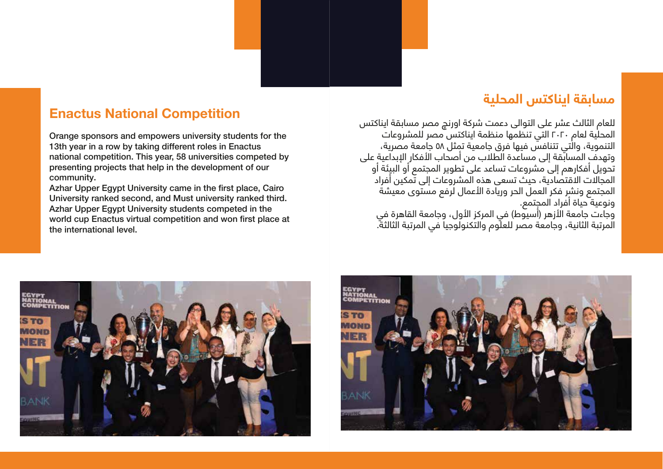

#### **مسابقة ايناكتس المحلية**

للعام الثالث عشر على التوالى دعمت شركة اورنچ مصر مسابقة ايناكتس المحلية لعام ٢٠٢٠ التي تنظمها منظمة ايناكتس مصر للمشروعات التنموية، والتي تتنافس فيها فرق جامعية تمثل ٥٨ جامعة مصرية، وتهدف المسابقة إلى مساعدة الطلاب من أصحاب الأفكار الإبداعية على تحويل أفكارهم إلى مشروعات تساعد على تطوير المجتمع أو البيئة أو المجالات الاقتصادية، حيث تسعى هذه المشروعات إلى تمكين أفراد المجتمع ونشر فكر العمل الحر وريادة الأعمال لرفع مستوى معيشة ونوعية حياة أفراد المجتمع. وجاءت جامعة الأزهر (أسيوط) في المركز الأول، وجامعة القاهرة في

المرتبة الثانية، وجامعة مصر للعلوم والتكنولوجيا في المرتبة الثالثة.



Orange sponsors and empowers university students for the 13th year in a row by taking different roles in Enactus national competition. This year, 58 universities competed by presenting projects that help in the development of our community.

Azhar Upper Egypt University came in the first place, Cairo University ranked second, and Must university ranked third. Azhar Upper Egypt University students competed in the world cup Enactus virtual competition and won first place at the international level.



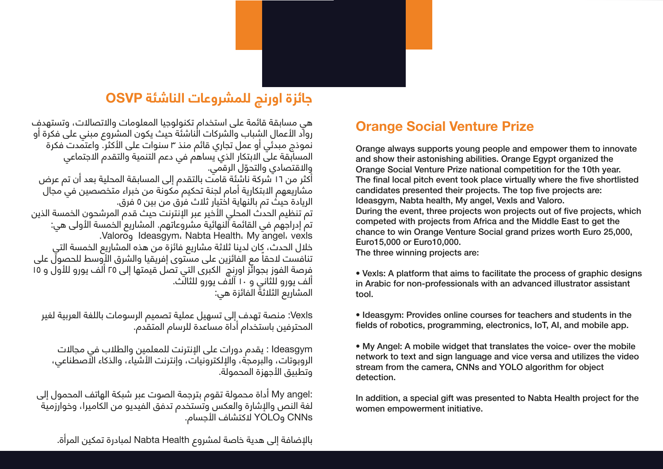## **جائزة اورنچ للمشروعات الناشئة OSVP**

هي مسابقة قائمة على استخدام تكنولوجيا المعلومات والاتصالات، وتستهدف رواد الأعمال الشباب والشركات الناشئة حيث يكون المشروع مبني على فكرة أو نموذج مبدئي أو عمل تجاري قائم منذ ٣ سنوات على الأكثر. واعتمدت فكرة المسابقة على الابتكار الذي يساهم في دعم التنمية والتقدم الاجتماعي والاقتصادي والتحوّل الرقمي. أكثر من ١٦ شركة ناشئة قامت بالتقدم إلى المسابقة المحلية بعد أن تم عرض مشاريعهم الابتكارية أمام لجنة تحكيم مكونة من خبراء متخصصين في مجال الريادة حيث تم بالنهاية اختيار ثلاث فرق من بين ٥ فرق. تم تنظيم الحدث المحلي الأخير عبر الإنترنت حيث قدم المرشحون الخمسة الذين تم إدراجهم في القائمة النهائية مشروعاتهم. المشاريع الخمسة الأولى هي: .Valoroو Ideasgym، Nabta Health، My angel، vexls خلال الحدث، كان لدينا ثلاثة مشاريع فائزة من هذه المشاريع الخمسة التي تنافست لاحقاً مع الفائزين على مستوى إفريقيا والشرق الأوسط للحصول على فرصة الفوز بجوائز اورنچ الكبرى التي تصل قيمتها إلى ٢٥ ألف يورو للأول و ١٥ ألف يورو للثاني و ١٠ آلاف يورو للثالث. المشاريع الثلاثة الفائزة هي:

Vexls: منصة تهدف إلى تسهيل عملية تصميم الرسومات باللغة العربية لغير المحترفين باستخدام أداة مساعدة للرسام المتقدم.

Ideasgym : يقدم دورات على الإنترنت للمعلمين والطلاب في مجالات الروبوتات، والبرمجة، والإلكترونيات، وإنترنت الأشياء، والذكاء الاصطناعي، وتطبيق الأجهزة المحمولة.

:angel My أداة محمولة تقوم بترجمة الصوت عبر شبكة الهاتف المحمول إلى لغة النص والإشارة والعكس وتستخدم تدفق الفيديو من الكاميرا، وخوارزمية CNNs وYOLO لاكتشاف الأجسام.

### **Orange Social Venture Prize**

Orange always supports young people and empower them to innovate and show their astonishing abilities. Orange Egypt organized the Orange Social Venture Prize national competition for the 10th year. The final local pitch event took place virtually where the five shortlisted candidates presented their projects. The top five projects are: Ideasgym, Nabta health, My angel, Vexls and Valoro. During the event, three projects won projects out of five projects, which competed with projects from Africa and the Middle East to get the chance to win Orange Venture Social grand prizes worth Euro 25,000, Euro15,000 or Euro10,000. The three winning projects are:

• Vexls: A platform that aims to facilitate the process of graphic designs in Arabic for non-professionals with an advanced illustrator assistant tool.

• Ideasgym: Provides online courses for teachers and students in the fields of robotics, programming, electronics, IoT, AI, and mobile app.

• My Angel: A mobile widget that translates the voice- over the mobile network to text and sign language and vice versa and utilizes the video stream from the camera, CNNs and YOLO algorithm for object detection.

In addition, a special gift was presented to Nabta Health project for the women empowerment initiative.

بالإضافة إلى هدية خاصة لمشروع Health Nabta لمبادرة تمكين المرأة.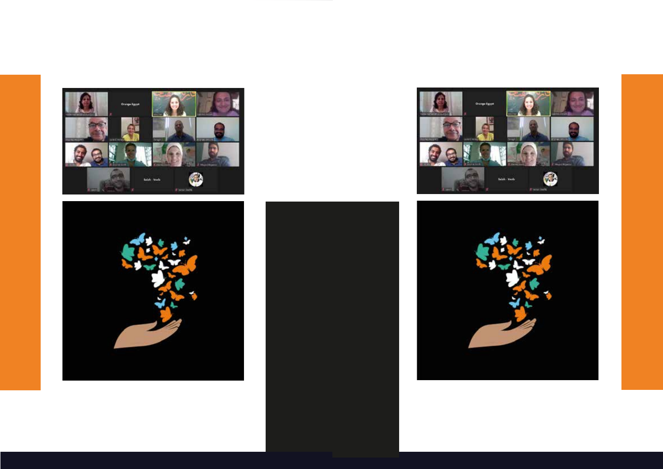







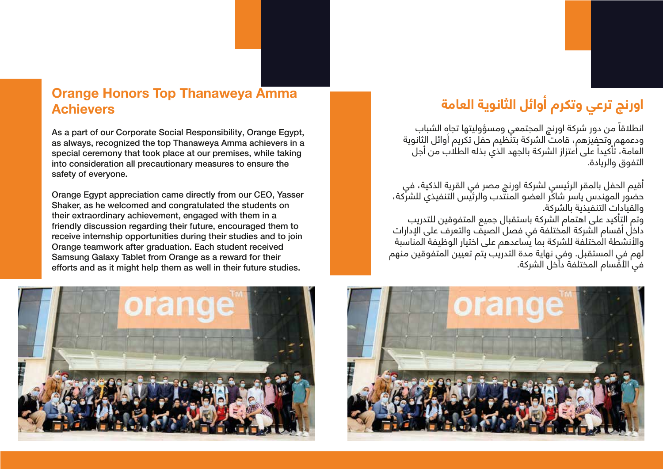# **اورنچ ترعي وتكرم أوائل الثانوية العامة**

انطلاقاً من دور شركة اورنچ المجتمعي ومسؤوليتها تجاه الشباب ودعمهم وتحفيزهم، قامت الشركة بتنظيم حفل تكريم أوائل الثانوية العامة، تأكيداً على اعتزاز الشركة بالجهد الذي بذله الطلاب من أجل التفوق والريادة.

أقيم الحفل بالمقر الرئيسي لشركة اورنچ مصر في القرية الذكية، في حضور المهندس ياسر شاكر العضو المنتدب والرئيس التنفيذي للشركة، والقيادات التنفيذية بالشركة.

وتم التأكيد على اهتمام الشركة باستقبال جميع المتفوقين للتدريب داخل أقسام الشركة المختلفة في فصل الصيف والتعرف على الإدارات والأنشطة المختلفة للشركة بما يساعدهم على اختيار الوظيفة المناسبة لهم في المستقبل. وفي نهاية مدة التدريب يتم تعيين المتفوقين منهم في الأقسام المختلفة داخل الشركة.



#### **Orange Honors Top Thanaweya Amma Achievers**

As a part of our Corporate Social Responsibility, Orange Egypt, as always, recognized the top Thanaweya Amma achievers in a special ceremony that took place at our premises, while taking into consideration all precautionary measures to ensure the safety of everyone.

Orange Egypt appreciation came directly from our CEO, Yasser Shaker, as he welcomed and congratulated the students on their extraordinary achievement, engaged with them in a friendly discussion regarding their future, encouraged them to receive internship opportunities during their studies and to join Orange teamwork after graduation. Each student received Samsung Galaxy Tablet from Orange as a reward for their efforts and as it might help them as well in their future studies.

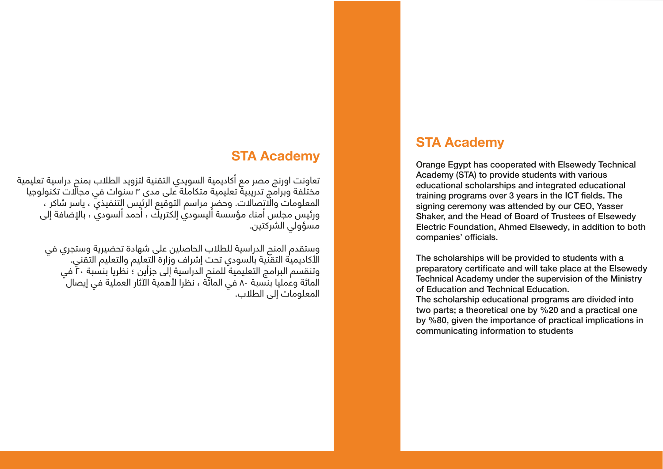#### **STA Academy**

Orange Egypt has cooperated with Elsewedy Technical Academy (STA) to provide students with various educational scholarships and integrated educational training programs over 3 years in the ICT fields. The signing ceremony was attended by our CEO, Yasser Shaker, and the Head of Board of Trustees of Elsewedy Electric Foundation, Ahmed Elsewedy, in addition to both companies' officials.

The scholarships will be provided to students with a preparatory certificate and will take place at the Elsewedy Technical Academy under the supervision of the Ministry of Education and Technical Education. The scholarship educational programs are divided into

two parts; a theoretical one by %20 and a practical one by %80, given the importance of practical implications in communicating information to students

#### **STA Academy**

تعاونت اورنج مصر مع أكاديمية السويدي التقنية لتزويد الطلاب بمنح دراسية تعليمية مختلفة وبرامج تدريبية تعليمية متكاملة على مدى ٣ سنوات في مجالات تكنولوجيا المعلومات والاتصالات. وحضر مراسم التوقيع الرئيس التنفيذي ، ياسر شاكر ، ورئيس مجلس أمناء مؤسسة أليسودي إلكتريك ، أحمد ألسودي ، بالإضافة إلى مسؤولي الشركتين.

وستقدم المنح الدراسية للطلاب الحاصلين على شهادة تحضيرية وستجري في الأكاديمية التقنية بالسودي تحت إشراف وزارة التعليم والتعليم التقني. وتنقسم البرامج التعليمية للمنح الدراسية إلى جزأين ؛ نظريا بنسبة ٢٠ في المائة وعمليا بنسبة ٨٠ في المائة ، نظرا لأهمية الآثار العملية في إيصال المعلومات إلى الطلاب.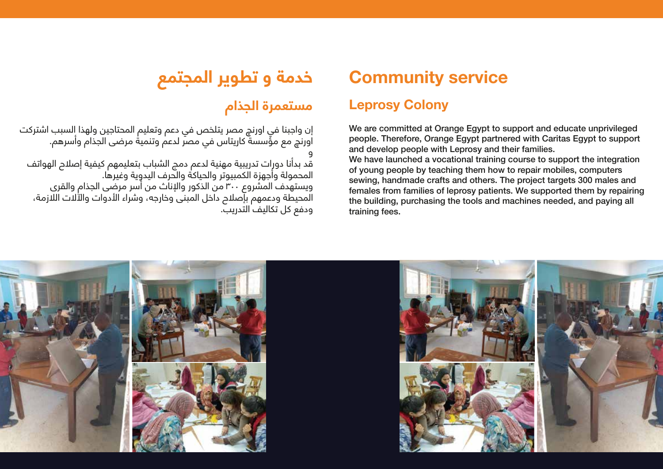# **خدمة و تطوير المجتمع**

### **مستعمرة الجذام**

إن واجبنا في اورنچ مصر يتلخص في دعم وتعليم المحتاجين ولهذا السبب اشتركت اورنچ مع مؤسسة كاريتاس في مصر لدعم وتنمية مرضى الجذام وأسرهم. و

قد بدأنا دورات تدريبية مهنية لدعم دمج الشباب بتعليمهم كيفية إصلاح الهواتف المحمولة وأجهزة الكمبيوتر والحياكة والحرف اليدوية وغيرها. ويستهدف المشروع ٣٠٠ من الذكور والإناث من أسر مرضى الجذام والقرى المحيطة ودعمهم بإصلاح داخل المبنى وخارجه، وشراء الأدوات والآلات اللازمة، ودفع كل تكاليف التدريب.

# **Community service**

### **Leprosy Colony**

We are committed at Orange Egypt to support and educate unprivileged people. Therefore, Orange Egypt partnered with Caritas Egypt to support and develop people with Leprosy and their families.

We have launched a vocational training course to support the integration of young people by teaching them how to repair mobiles, computers sewing, handmade crafts and others. The project targets 300 males and females from families of leprosy patients. We supported them by repairing the building, purchasing the tools and machines needed, and paying all training fees.

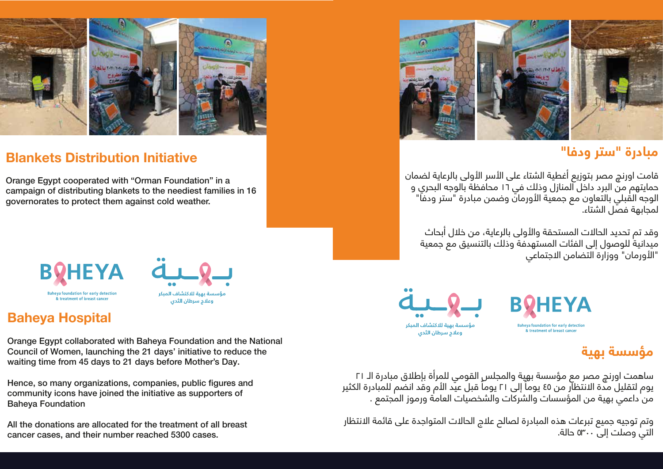

### **مبادرة "ستر ودفا"**

قامت اورنچ مصر بتوزيع أغطية الشتاء على الأسر الأولى بالرعاية لضمان حمايتهم من البرد داخل المنازل وذلك في ١٦ محافظة بالوجه البحري و الوجه القبلي بالتعاون مع جمعية الأورمان وضمن مبادرة "ستر ودفا" لمجابهة فصل الشتاء.

وقد تم تحديد الحالات المستحقة والأولى بالرعاية، من خلال أبحاث ميدانية للوصول إلى الفئات المستهدفة وذلك بالتنسيق مع جمعية "الأورمان" ووزارة التضامن الاجتماعي



#### **مؤسسة بهية**

ساهمت اورنچ مصر مع مؤسسة بهية والمجلس القومي للمرأة بإطلاق مبادرة الـ ٢١ يوم لتقليل مدة الانتظار من ٤٥ يوماً إلى ٢١ يوماً قبل عيد الأم وقد انضم للمبادرة الكثير من داعمي بهية من المؤسسات والشركات والشخصيات العامة ورموز المجتمع .

وتم توجيه جميع تبرعات هذه المبادرة لصالح علاج الحالات المتواجدة على قائمة الانتظار التي وصلت إلى ٥٣٠٠ حالة.



#### **Blankets Distribution Initiative**

Orange Egypt cooperated with "Orman Foundation" in a campaign of distributing blankets to the neediest families in 16 governorates to protect them against cold weather.



#### **Baheya Hospital**

Orange Egypt collaborated with Baheya Foundation and the National Council of Women, launching the 21 days' initiative to reduce the waiting time from 45 days to 21 days before Mother's Day.

يؤسسة بهبة للاكتشاف المبكر

وعلاج سرطان الثدى

Hence, so many organizations, companies, public figures and community icons have joined the initiative as supporters of Baheya Foundation

All the donations are allocated for the treatment of all breast cancer cases, and their number reached 5300 cases.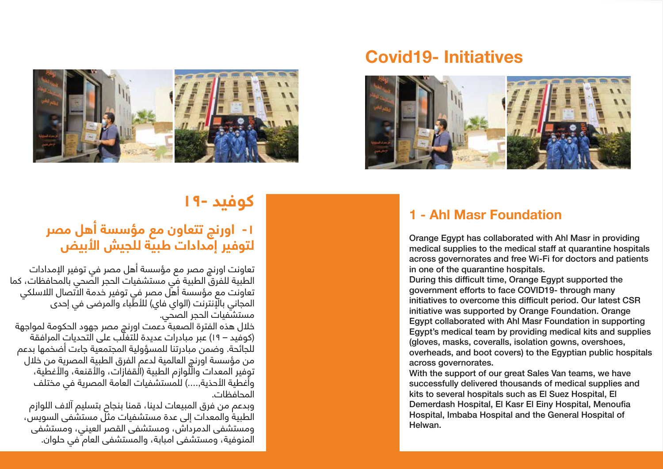## **Covid19- Initiatives**





#### **1 - Ahl Masr Foundation**

Orange Egypt has collaborated with Ahl Masr in providing medical supplies to the medical staff at quarantine hospitals across governorates and free Wi-Fi for doctors and patients in one of the quarantine hospitals.

During this difficult time, Orange Egypt supported the government efforts to face COVID19- through many initiatives to overcome this difficult period. Our latest CSR initiative was supported by Orange Foundation. Orange Egypt collaborated with Ahl Masr Foundation in supporting Egypt's medical team by providing medical kits and supplies (gloves, masks, coveralls, isolation gowns, overshoes, overheads, and boot covers) to the Egyptian public hospitals across governorates.

With the support of our great Sales Van teams, we have successfully delivered thousands of medical supplies and kits to several hospitals such as El Suez Hospital, El Demerdash Hospital, El Kasr El Einy Hospital, Menoufia Hospital, Imbaba Hospital and the General Hospital of Helwan.

## **كوفيد ١٩-**

### **-١ اورنچ تتعاون مع مؤسسة أهل مصر لتوفير إمدادات طبية للجيش الأبيض**

تعاونت اورنچ مصر مع مؤسسة أهل مصر في توفير الإمدادات الطبية للفرق الطبية في مستشفيات الحجر الصحي بالمحافظات، كما تعاونت مع مؤسسة أهل مصر في توفير خدمة الاتصال اللاسلكي المجاني بالإنترنت (الواي فاي) للأطباء والمرضى في إحدى مستشفيات الحجر الصحي.

خلال هذه الفترة الصعبة دعمت اورنچ مصر جهود الحكومة لمواجهة (كوفيد – ١٩) عبر مبادرات عديدة للتغلب على التحديات المرافقة للجائحة. وضمن مبادرتنا للمسؤولية المجتمعية جاءت أضخمها بدعم من مؤسسة اورنچ العالمية لدعم الفرق الطبية المصرية من خلال توفير المعدات واللوازم الطبية (القفازات، والأقنعة، والأغطية، وأغطية الأحذية....,) للمستشفيات العامة المصرية في مختلف المحافظات.

وبدعم من فرق المبيعات لدينا، قمنا بنجاح بتسليم آلاف اللوازم الطبية والمعدات إلى عدة مستشفيات مثل مستشفى السويس، ومستشفى الدمرداش، ومستشفى القصر العيني، ومستشفى المنوفية، ومستشفى امبابة، والمستشفى العام في حلوان.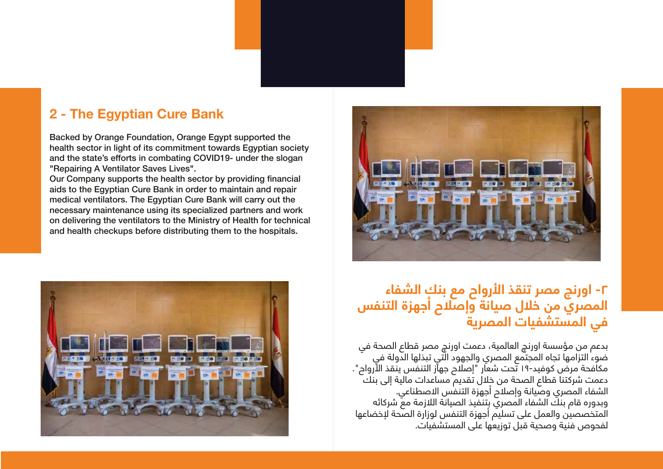

#### **2 - The Egyptian Cure Bank**

Backed by Orange Foundation, Orange Egypt supported the health sector in light of its commitment towards Egyptian society and the state's efforts in combating COVID19- under the slogan "Repairing A Ventilator Saves Lives".

Our Company supports the health sector by providing financial aids to the Egyptian Cure Bank in order to maintain and repair medical ventilators. The Egyptian Cure Bank will carry out the necessary maintenance using its specialized partners and work on delivering the ventilators to the Ministry of Health for technical and health checkups before distributing them to the hospitals.

## **-٢ اورنچ مصر تنقذ الأرواح مع بنك الشفاء المصري من خلال صيانة وإصلاح أجهزة التنفس في المستشفيات المصرية**

بدعم من مؤسسة اورنچ العالمية، دعمت اورنچ مصر قطاع الصحة في ضوء التزامها تجاه المجتمع المصري والجهود التي تبذلها الدولة في مكافحة مرض كوفيد١٩- تحت شعار "إصلاح جهاز التنفس ينقذ الأرواح". دعمت شركتنا قطاع الصحة من خلال تقديم مساعدات مالية إلى بنك الشفاء المصري وصيانة وإصلاح أجهزة التنفس الاصطناعي. وبدوره قام بنك الشفاء المصري بتنفيذ الصيانة اللازمة مع شركائه المتخصصين والعمل على تسليم أجهزة التنفس لوزارة الصحة لإخضاعها لفحوص فنية وصحية قبل توزيعها على المستشفيات.

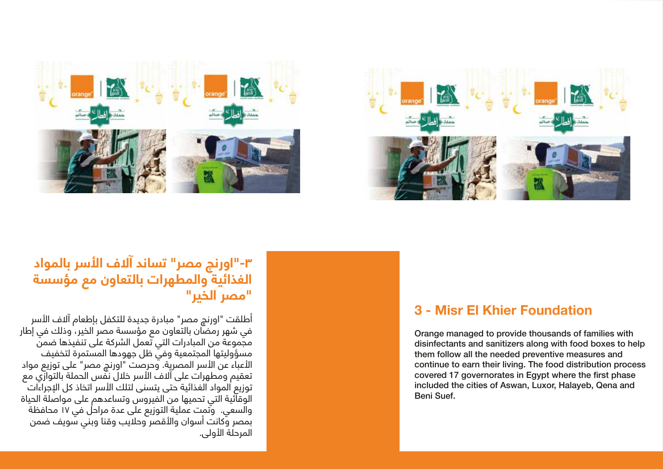



#### **3 - Misr El Khier Foundation**

Orange managed to provide thousands of families with disinfectants and sanitizers along with food boxes to help them follow all the needed preventive measures and continue to earn their living. The food distribution process covered 17 governorates in Egypt where the first phase included the cities of Aswan, Luxor, Halayeb, Qena and Beni Suef.

### **-"اورنچ مصر" تساند آلاف الأسر بالمواد ٣ الغذائية والمطهرات بالتعاون مع مؤسسة "مصر الخير"**

أطلقت "اورنچ مصر" مبادرة جديدة للتكفل بإطعام آلاف الأسر في شهر رمضان بالتعاون مع مؤسسة مصر الخير، وذلك في إطار مجموعة من المبادرات التي تعمل الشركة على تنفيذها ضمن مسؤوليتها المجتمعية وفي ظل جهودها المستمرة لتخفيف الأعباء عن الأسر المصرية. وحرصت "اورنچ مصر" على توزيع مواد تعقيم ومطهرات على آلاف الأسر خلال نفس الحملة بالتوازي مع توزيع المواد الغذائية حتى يتسنى لتلك الأسر اتخاذ كل الإجراءات الوقائية التي تحميها من الفيروس وتساعدهم على مواصلة الحياة والسعي. وتمت عملية التوزيع على عدة مراحل في ١٧ محافظة بمصر وكانت أسوان والأقصر وحلايب وقنا وبني سويف ضمن المرحلة الأولى.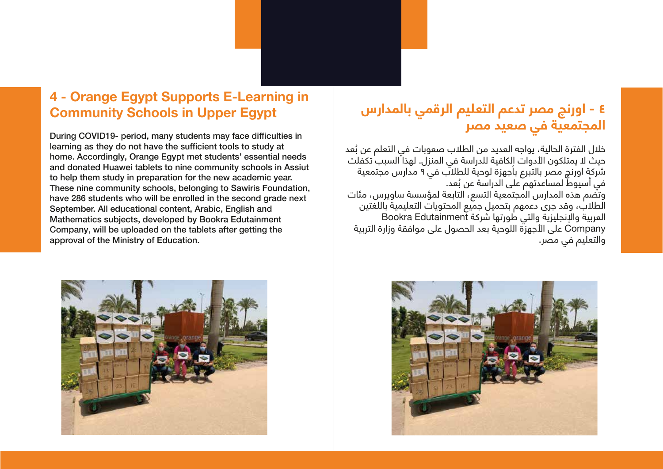#### **4 - Orange Egypt Supports E-Learning in Community Schools in Upper Egypt**

During COVID19- period, many students may face difficulties in learning as they do not have the sufficient tools to study at home. Accordingly, Orange Egypt met students' essential needs and donated Huawei tablets to nine community schools in Assiut to help them study in preparation for the new academic year. These nine community schools, belonging to Sawiris Foundation, have 286 students who will be enrolled in the second grade next September. All educational content, Arabic, English and Mathematics subjects, developed by Bookra Edutainment Company, will be uploaded on the tablets after getting the approval of the Ministry of Education.

### **٤ - اورنچ مصر تدعم التعليم الرقمي بالمدارس المجتمعية في صعيد مصر**

ُ خلال الفترة الحالية، يواجه العديد من الطلاب صعوبات في التعلم عن بعد حيث لا يمتلكون الأدوات الكافية للدراسة في المنزل. لهذا السبب تكفلت شركة اورنچ مصر بالتبرع بأجهزة لوحية للطلاب في ٩ مدارس مجتمعية ُ في أسيوط لمساعدتهم على الدراسة عن بعد. وتضم هذه المدارس المجتمعية التسع، التابعة لمؤسسة ساويرس، مئات الطلاب، وقد جرى دعمهم بتحميل جميع المحتويات التعليمية باللغتين العربية والإنجليزية والتي طورتها شركة Edutainment Bookra Company على الأجهزة اللوحية بعد الحصول على موافقة وزارة التربية والتعليم في مصر.



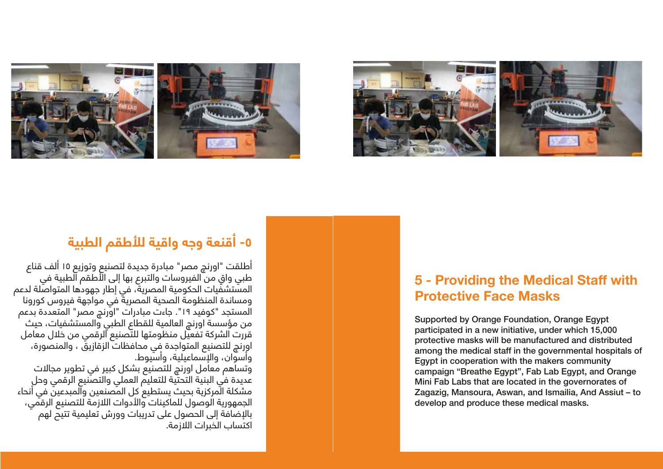



#### **5 - Providing the Medical Staff with Protective Face Masks**

Supported by Orange Foundation, Orange Egypt participated in a new initiative, under which 15,000 protective masks will be manufactured and distributed among the medical staff in the governmental hospitals of Egypt in cooperation with the makers community campaign "Breathe Egypt", Fab Lab Egypt, and Orange Mini Fab Labs that are located in the governorates of Zagazig, Mansoura, Aswan, and Ismailia, And Assiut – to develop and produce these medical masks.

### **- أقنعة وجه واقية للأطقم الطبية ٥**

أطلقت "اورنچ مصر" مبادرة جديدة لتصنيع وتوزيع ١٥ ألف قناع طبي واقٍ من الفيروسات والتبرع بها إلى الأطقم الطبية في المستشفيات الحكومية المصرية، في إطار جهودها المتواصلة لدعم ومساندة المنظومة الصحية المصرية في مواجهة فيروس كورونا المستجد "كوفيد ١٩". جاءت مبادرات "اورنچ مصر" المتعددة بدعم من مؤسسة اورنچ العالمية للقطاع الطبي والمستشفيات، حيث قررت الشركة تفعيل منظومتها للتصنيع الرقمي من خلال معامل اورنچ للتصنيع المتواجدة في محافظات الزقازيق ، والمنصورة، وأسوان، والإسماعيلية، وأسيوط.

وتساهم معامل اورنچ للتصنيع بشكل كبير في تطوير مجالات عديدة في البنية التحتية للتعليم العملي والتصنيع الرقمي وحل مشكلة المركزية بحيث يستطيع كل المصنعين والمبدعين في أنحاء الجمهورية الوصول للماكينات والأدوات اللازمة للتصنيع الرقمي، بالإضافة إلى الحصول على تدريبات وورش تعليمية تتيح لهم اكتساب الخبرات اللازمة.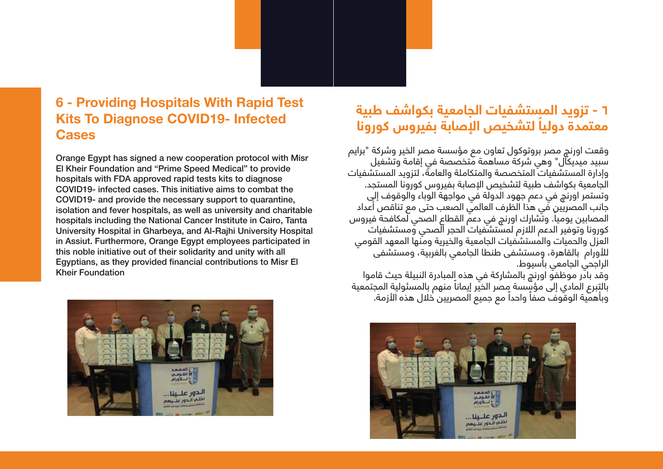

#### **6 - Providing Hospitals With Rapid Test Kits To Diagnose COVID19- Infected Cases**

Orange Egypt has signed a new cooperation protocol with Misr El Kheir Foundation and "Prime Speed Medical" to provide hospitals with FDA approved rapid tests kits to diagnose COVID19- infected cases. This initiative aims to combat the COVID19- and provide the necessary support to quarantine, isolation and fever hospitals, as well as university and charitable hospitals including the National Cancer Institute in Cairo, Tanta University Hospital in Gharbeya, and Al-Rajhi University Hospital in Assiut. Furthermore, Orange Egypt employees participated in this noble initiative out of their solidarity and unity with all Egyptians, as they provided financial contributions to Misr El Kheir Foundation



### **٦ - تزويد المستشفيات الجامعية بكواشف طبية ً لتشخيص الإصابة بفيروس كورونا معتمدة دوليا**

وقعت اورنچ مصر بروتوكول تعاون مع مؤسسة مصر الخير وشركة "برايم سبيد ميديكال" وهي شركة مساهمة متخصصة في إقامة وتشغيل وإدارة المستشفيات المتخصصة والمتكاملة والعامة، لتزويد المستشفيات الجامعية بكواشف طبية لتشخيص الإصابة بفيروس كورونا المستجد. وتستمر اورنچ في دعم جهود الدولة في مواجهة الوباء والوقوف إلى جانب المصريين في هذا الظرف العالمي الصعب حتى مع تناقص أعداد المصابين يوميا.ً وتشارك اورنچ في دعم القطاع الصحي لمكافحة فيروس كورونا وتوفير الدعم اللازم لمستشفيات الحجر الصحي ومستشفيات العزل والحميات والمستشفيات الجامعية والخيرية ومنها المعهد القومي للأورام بالقاهرة، ومستشفى طنطا الجامعي بالغربية، ومستشفى الراجحي الجامعي بأسيوط.

وقد بادر موظفو اورنچ بالمشاركة في هذه المبادرة النبيلة حيث قاموا بالتبرع المادي إلى مؤسسة مصر الخير إيماناً منهم بالمسئولية المجتمعية وبأهمية الوقوف صفاً واحداً مع جميع المصريين خلال هذه الأزمة.

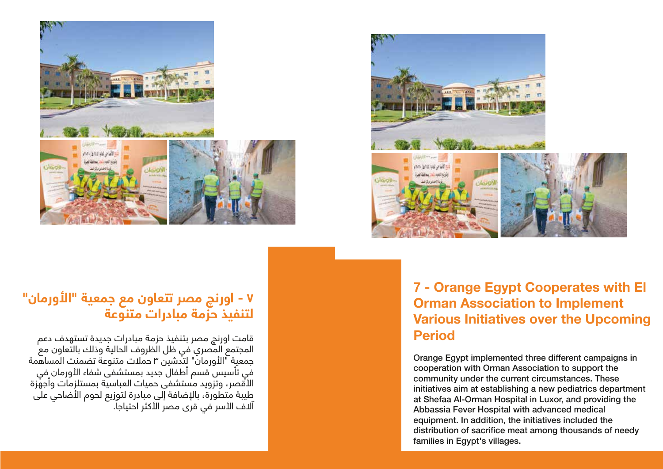

#### **7 - Orange Egypt Cooperates with El Orman Association to Implement Various Initiatives over the Upcoming Period**

Orange Egypt implemented three different campaigns in cooperation with Orman Association to support the community under the current circumstances. These initiatives aim at establishing a new pediatrics department at Shefaa Al-Orman Hospital in Luxor, and providing the Abbassia Fever Hospital with advanced medical equipment. In addition, the initiatives included the distribution of sacrifice meat among thousands of needy families in Egypt's villages.



## **- اورنچ مصر تتعاون مع جمعية "الأورمان" ٧ لتنفيذ حزمة مبادرات متنوعة**

قامت اورنچ مصر بتنفيذ حزمة مبادرات جديدة تستهدف دعم المجتمع المصري في ظل الظروف الحالية وذلك بالتعاون مع جمعية "الأورمان" لتدشين ٣ حملات متنوعة تضمنت المساهمة في تأسيس قسم أطفال جديد بمستشفى شفاء الأورمان في الأقصر، وتزويد مستشفى حميات العباسية بمستلزمات وأجهزة طيبة متطورة، بالإضافة إلى مبادرة لتوزيع لحوم الأضاحي على<br>آلاف الأسر في قرى مصر الأكثر احتياجاً.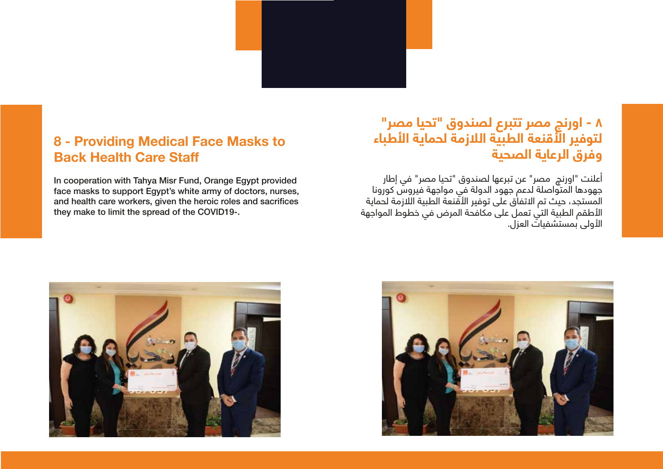

#### **8 - Providing Medical Face Masks to Back Health Care Staff**

In cooperation with Tahya Misr Fund, Orange Egypt provided face masks to support Egypt's white army of doctors, nurses, and health care workers, given the heroic roles and sacrifices they make to limit the spread of the COVID19-.

### **٨ - اورنچ مصر تتبرع لصندوق "تحيا مصر" لتوفير الأقنعة الطبية اللازمة لحماية الأطباء وفرق الرعاية الصحية**

أعلنت "اورنچ مصر" عن تبرعها لصندوق "تحيا مصر" في إطار جهودها المتواصلة لدعم جهود الدولة في مواجهة فيروس كورونا المستجد، حيث تم الاتفاق على توفير الأقنعة الطبية اللازمة لحماية الأطقم الطبية التي تعمل على مكافحة المرض في خطوط المواجهة الأولى بمستشفيات العزل.



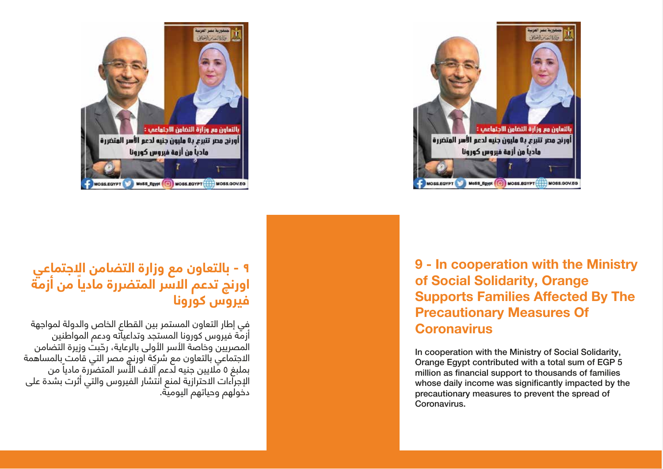



**9 - In cooperation with the Ministry of Social Solidarity, Orange Supports Families Affected By The Precautionary Measures Of Coronavirus**

In cooperation with the Ministry of Social Solidarity, Orange Egypt contributed with a total sum of EGP 5 million as financial support to thousands of families whose daily income was significantly impacted by the precautionary measures to prevent the spread of Coronavirus.

#### **- بالتعاون مع وزارة التضامن الاجتماعي ٩ من أزمة اورنچ تدعم الاسر المتضررة ماديا ً فيروس كورونا**

في إطار التعاون المستمر بين القطاع الخاص والدولة لمواجهة أزمة فيروس كورونا المستجد وتداعياته ودعم المواطنين ّ المصريين وخاصة الأسر الأولى بالرعاية، رحبت وزيرة التضامن الاجتماعي بالتعاون مع شركة اورنچ مصر التي قامت بالمساهمة بملبغ ٥ ملايين جنيه لَّدعم آلاف الأَّسر المتضرّرة مادياً من الإجراءات الاحترازية لمنع انتشار الفيروس والتي أثرت بشدة على دخولهم وحياتهم اليومية.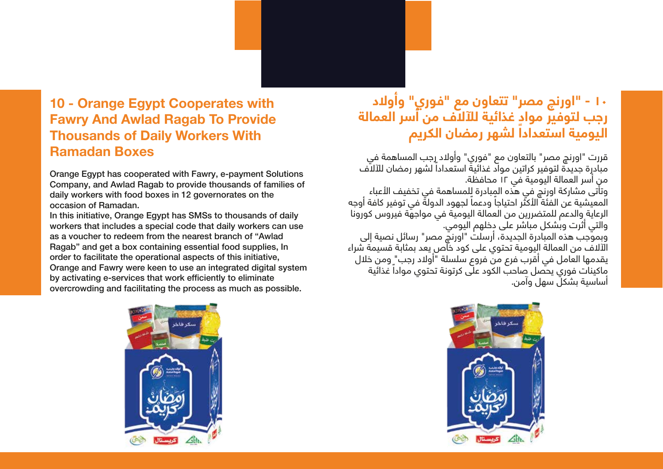

### **10 - Orange Egypt Cooperates with Fawry And Awlad Ragab To Provide Thousands of Daily Workers With Ramadan Boxes**

Orange Egypt has cooperated with Fawry, e-payment Solutions Company, and Awlad Ragab to provide thousands of families of daily workers with food boxes in 12 governorates on the occasion of Ramadan.

In this initiative, Orange Egypt has SMSs to thousands of daily workers that includes a special code that daily workers can use as a voucher to redeem from the nearest branch of "Awlad Ragab" and get a box containing essential food supplies, In order to facilitate the operational aspects of this initiative, Orange and Fawry were keen to use an integrated digital system by activating e-services that work efficiently to eliminate overcrowding and facilitating the process as much as possible.

### **١٠ - "اورنچ مصر" تتعاون مع "فوري" وأولاد رجب لتوفير مواد غذائية للآلاف من أسر العمالة ً لشهر رمضان الكريم اليومية استعدادا**

قررت "اورنچ مصر" بالتعاون مع "فوري" وأولاد رجب المساهمة في مبادرة جديدة لتوفير كراتين مواد غذائية استعداداً لشهر رمضان للآلاف من أسر العمالة اليومية في ١٢ محافظة. وتأتى مشاركة اورنچ في هذه المبادرة للمساهمة في تخفيف الأعباء المعيشية عن الفئة الأكثر احتياجاً ودعماً لجهود الدولة في توفير كافة أوجه الرعاية والدعم للمتضررين من العمالة اليومية في مواجهة فيروس كورونا والتي أثرت وبشكل مباشر على دخلهم اليومي. وبموجب هذه المبادرة الجديدة، أرسلت "اورنچ مصر" رسائل نصية إلى الآلاف من العمالة اليومية تحتوي على كود خاص يعد بمثابة قسيمة شراء يقدمها العامل في أقرب فرع من فروع سلسلة "أولاد رجب" ومن خلال ماكينات فوري يحصل صاحب الكود على كرتونة تحتوي مواداً غذائية أساسية بشكل سهل وآمن.



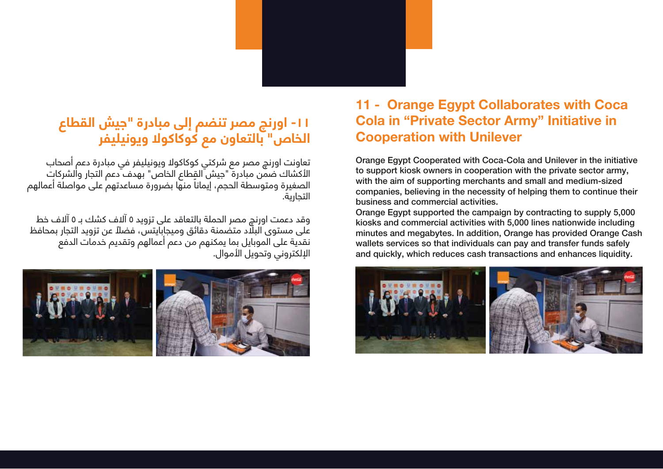

### **-١١ اورنچ مصر تنضم إلى مبادرة "جيش القطاع الخاص" بالتعاون مع كوكاكولا ويونيليفر**

تعاونت اورنچ مصر مع شركتي كوكاكولا ويونيليفر في مبادرة دعم أصحاب الأكشاك ضمن مبادرة "جيش القطاع الخاص" بهدف دعم التجار والشركات الصغيرة ومتوسطة الحجم، إيماناً منها بضرورة مساعدتهم على مواصلة أعمالهم التجارية.

وقد دعمت اورنچ مصر الحملة بالتعاقد على تزويد ٥ آلاف كشك بـ ٥ آلاف خط ً على مستوى البلاد متضمنة دقائق وميجابايتس، فضلا عن تزويد التجار بمحافظ نقدية على الموبايل بما يمكنهم من دعم أعمالهم وتقديم خدمات الدفع الإلكتروني وتحويل الأموال.



#### **11 - Orange Egypt Collaborates with Coca Cola in "Private Sector Army" Initiative in Cooperation with Unilever**

Orange Egypt Cooperated with Coca-Cola and Unilever in the initiative to support kiosk owners in cooperation with the private sector army, with the aim of supporting merchants and small and medium-sized companies, believing in the necessity of helping them to continue their business and commercial activities.

Orange Egypt supported the campaign by contracting to supply 5,000 kiosks and commercial activities with 5,000 lines nationwide including minutes and megabytes. In addition, Orange has provided Orange Cash wallets services so that individuals can pay and transfer funds safely and quickly, which reduces cash transactions and enhances liquidity.

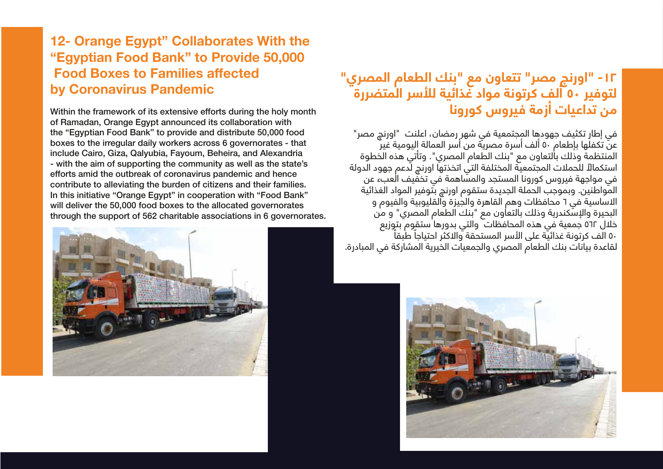### **12- Orange Egypt" Collaborates With the "Egyptian Food Bank" to Provide 50,000 Food Boxes to Families affected by Coronavirus Pandemic**

Within the framework of its extensive efforts during the holy month of Ramadan, Orange Egypt announced its collaboration with the "Egyptian Food Bank" to provide and distribute 50,000 food boxes to the irregular daily workers across 6 governorates - that include Cairo, Giza, Qalyubia, Fayoum, Beheira, and Alexandria - with the aim of supporting the community as well as the state's efforts amid the outbreak of coronavirus pandemic and hence contribute to alleviating the burden of citizens and their families. In this initiative "Orange Egypt" in cooperation with "Food Bank" will deliver the 50,000 food boxes to the allocated governorates through the support of 562 charitable associations in 6 governorates.



### **-١٢ "اورنچ مصر" تتعاون مع "بنك الطعام المصري" لتوفير ٥٠ ألف كرتونة مواد غذائية للأسر المتضررة من تداعيات أزمة فيروس كورونا**

في إطار تكثيف جهودها المجتمعية في شهر رمضان، اعلنت "اورنچ مصر" عن تكفلها بإطعام ٥٠ ألف أسرة مصرية من أسر العمالة اليومية غير المنتظمة وذلك بالتعاون مع "بنك الطعام المصري". وتأتي هذه الخطوة ً استكمالا للحملات المجتمعية المختلفة التي اتخذتها اورنچ لدعم جهود الدولة في مواجهة فيروس كورونا المستجد والمساهمة في تخفيف العبء عن المواطنين. وبموجب الحملة الجديدة ستقوم اورنچ بتوفير المواد الغذائية الاساسية في ٦ محافظات وهم القاهرة والجيزة والقليوبية والفيوم و البحيرة والإسكندرية وذلك بالتعاون مع "بنك الطعام المصري" و من خلال ٥٦٢ جمعية في هذه المحافظات والتي بدورها ستقوم بتوزيع ٥٠ الف كرتونة غذائية على الأسر المستحقة والاكثر احتياجاً طبقاً لقاعدة بيانات بنك الطعام المصري والجمعيات الخيرية المشاركة في المبادرة.

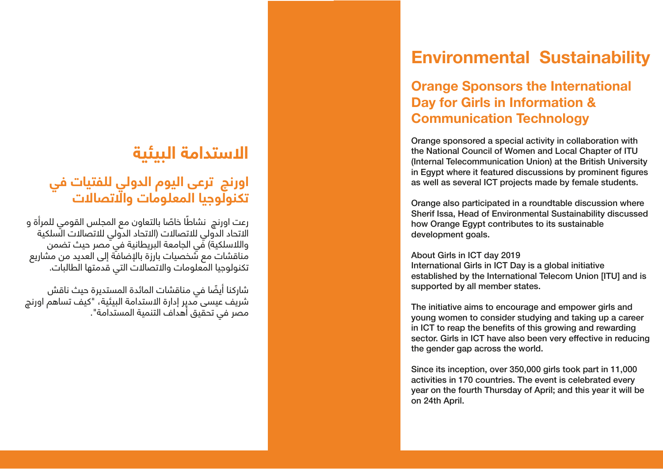## **Environmental Sustainability**

### **Orange Sponsors the International Day for Girls in Information & Communication Technology**

Orange sponsored a special activity in collaboration with the National Council of Women and Local Chapter of ITU (Internal Telecommunication Union) at the British University in Egypt where it featured discussions by prominent figures as well as several ICT projects made by female students.

Orange also participated in a roundtable discussion where Sherif Issa, Head of Environmental Sustainability discussed how Orange Egypt contributes to its sustainable development goals.

#### About Girls in ICT day 2019

International Girls in ICT Day is a global initiative established by the International Telecom Union [ITU] and is supported by all member states.

The initiative aims to encourage and empower girls and young women to consider studying and taking up a career in ICT to reap the benefits of this growing and rewarding sector. Girls in ICT have also been very effective in reducing the gender gap across the world.

Since its inception, over 350,000 girls took part in 11,000 activities in 170 countries. The event is celebrated every year on the fourth Thursday of April; and this year it will be on 24th April.

# **الاستدامة البيئية**

### **اورنچ ترعى اليوم الدولي للفتيات في تكنولوجيا المعلومات والاتصالات**

رعت اورنچ ِ نشاطًا خاصًا بالتعاون مع المجلس القومي للمرأة و الاتحاد الدولي للاتصالات (الاتحاد الدولي للاتصالات السلكية واللاسلكية) في الجامعة البريطانية في مصر حيث تضمن مناقشات مع شخصيات بارزة بالإضافة إلى العديد من مشاريع تكنولوجيا المعلومات والاتصالات التي قدمتها الطالبات.

شاركنا أيضًا في مناقشات المائدة المستديرة حيث ناقش شريف عيسى مدير إدارة الاستدامة البيئية، "كيف تساهم اورنچ مصر في تحقيق أهداف التنمية المستدامة".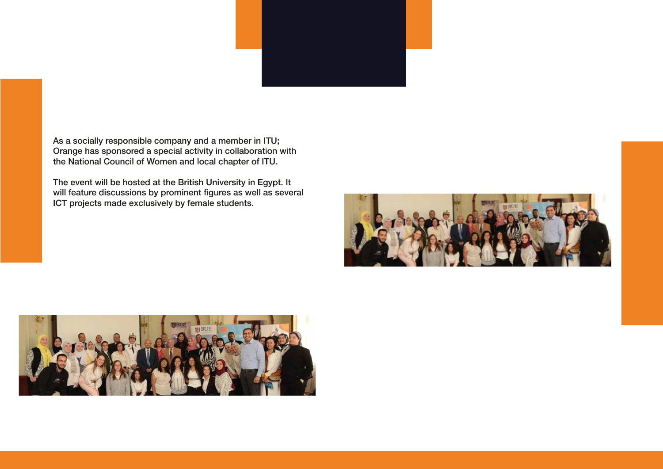

As a socially responsible company and a member in ITU; Orange has sponsored a special activity in collaboration with the National Council of Women and local chapter of ITU.

The event will be hosted at the British University in Egypt. It will feature discussions by prominent figures as well as several ICT projects made exclusively by female students.



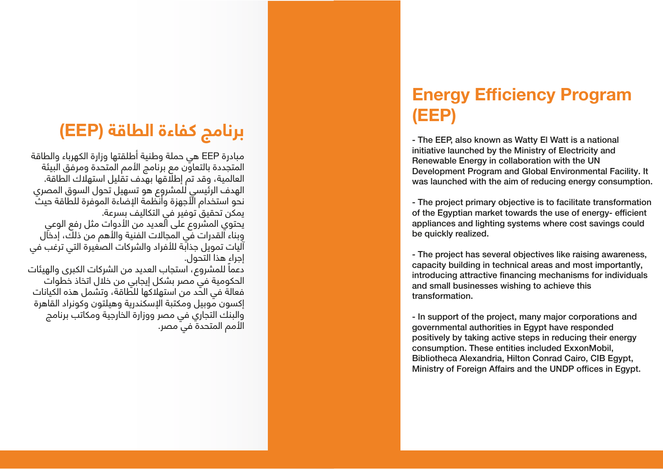# **Energy Efficiency Program (EEP)**

- The EEP, also known as Watty El Watt is a national initiative launched by the Ministry of Electricity and Renewable Energy in collaboration with the UN Development Program and Global Environmental Facility. It was launched with the aim of reducing energy consumption.

- The project primary objective is to facilitate transformation of the Egyptian market towards the use of energy- efficient appliances and lighting systems where cost savings could be quickly realized.

- The project has several objectives like raising awareness, capacity building in technical areas and most importantly, introducing attractive financing mechanisms for individuals and small businesses wishing to achieve this transformation.

- In support of the project, many major corporations and governmental authorities in Egypt have responded positively by taking active steps in reducing their energy consumption. These entities included ExxonMobil, Bibliotheca Alexandria, Hilton Conrad Cairo, CIB Egypt, Ministry of Foreign Affairs and the UNDP offices in Egypt.

# **برنامج كفاءة الطاقة (EEP(**

مبادرة EEP هي حملة وطنية أطلقتها وزارة الكهرباء والطاقة المتجددة بالتعاون مع برنامج الأمم المتحدة ومرفق البيئة العالمية، وقد تم إطلاقها بهدف تقليل استهلاك الطاقة. الهدف الرئيسي للمشروع هو تسهيل تحول السوق المصري نحو استخدام الأجهزة وأنظمة الإضاءة الموفرة للطاقة حيث يمكن تحقيق توفير في التكاليف بسرعة. يحتوي المشروع على العديد من الأدوات مثل رفع الوعي وبناء القدرات في المجالات الفنية والأهم من ذلك، إدخال آليات تمويل جذابة للأفراد والشركات الصغيرة التي ترغب في إجراء هذا التحول.

دعماً للمشروع، استجاب العديد من الشركات الكبرى والهيئات الحكومية في مصر بشكل إيجابي من خلال اتخاذ خطوات فعالة في الحد من استهلاكها للطاقة، وتشمل هذه الكيانات إكسون موبيل ومكتبة الإسكندرية وهيلتون وكونراد القاهرة والبنك التجاري في مصر ووزارة الخارجية ومكاتب برنامج الأمم المتحدة في مصر.